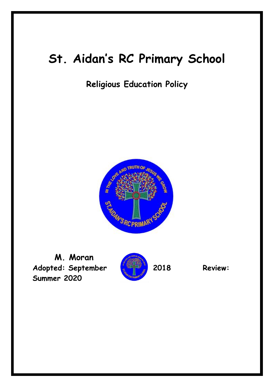# **St. Aidan's RC Primary School**

**Religious Education Policy**



**M. Moran** Adopted: September **2018 Review: Summer 2020**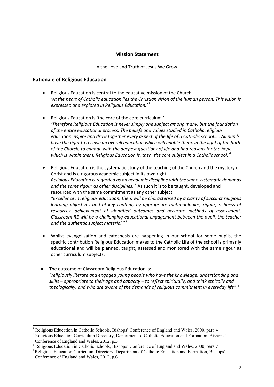#### **Mission Statement**

'In the Love and Truth of Jesus We Grow.'

#### **Rationale of Religious Education**

l

- Religious Education is central to the educative mission of the Church. *'At the heart of Catholic education lies the Christian vision of the human person. This vision is expressed and explored in Religious Education.' 1*
- Religious Education is 'the core of the core curriculum.' *'Therefore Religious Education is never simply one subject among many, but the foundation of the entire educational process. The beliefs and values studied in Catholic religious education inspire and draw together every aspect of the life of a Catholic school….. All pupils have the right to receive an overall education which will enable them, in the light of the faith of the Church, to engage with the deepest questions of life and find reasons for the hope which is within them. Religious Education is, then, the core subject in a Catholic school.'<sup>1</sup>*
- Religious Education is the systematic study of the teaching of the Church and the mystery of Christ and is a rigorous academic subject in its own right. *Religious Education is regarded as an academic discipline with the same systematic demands*  and the same rigour as other disciplines.<sup>2</sup> As such it is to be taught, developed and resourced with the same commitment as any other subject. *"Excellence in religious education, then, will be characterised by a clarity of succinct religious learning objectives and of key content, by appropriate methodologies, rigour, richness of resources, achievement of identified outcomes and accurate methods of assessment. Classroom RE will be a challenging educational engagement between the pupil, the teacher and the authentic subject material."* <sup>3</sup>
- Whilst evangelisation and catechesis are happening in our school for some pupils, the specific contribution Religious Education makes to the Catholic Life of the school is primarily educational and will be planned, taught, assessed and monitored with the same rigour as other curriculum subjects.
- The outcome of Classroom Religious Education is: *"religiously literate and engaged young people who have the knowledge, understanding and skills – appropriate to their age and capacity – to reflect spiritually, and think ethically and theologically, and who are aware of the demands of religious commitment in everyday life"*. 4

<sup>&</sup>lt;sup>1</sup> Religious Education in Catholic Schools, Bishops' Conference of England and Wales, 2000, para 4

<sup>&</sup>lt;sup>2</sup> Religious Education Curriculum Directory, Department of Catholic Education and Formation, Bishops' Conference of England and Wales, 2012, p.3

<sup>&</sup>lt;sup>3</sup> Religious Education in Catholic Schools, Bishops' Conference of England and Wales, 2000, para 7

<sup>&</sup>lt;sup>4</sup> Religious Education Curriculum Directory, Department of Catholic Education and Formation, Bishops' Conference of England and Wales, 2012, p.6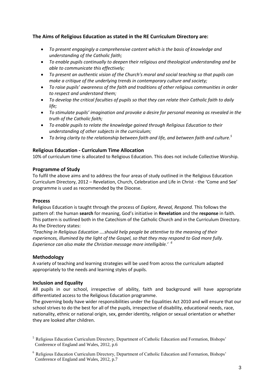# **The Aims of Religious Education as stated in the RE Curriculum Directory are:**

- *To present engagingly a comprehensive content which is the basis of knowledge and understanding of the Catholic faith;*
- *To enable pupils continually to deepen their religious and theological understanding and be able to communicate this effectively;*
- *To present an authentic vision of the Church's moral and social teaching so that pupils can make a critique of the underlying trends in contemporary culture and society;*
- *To raise pupils' awareness of the faith and traditions of other religious communities in order to respect and understand them;*
- *To develop the critical faculties of pupils so that they can relate their Catholic faith to daily life;*
- *To stimulate pupils' imagination and provoke a desire for personal meaning as revealed in the truth of the Catholic faith;*
- *To enable pupils to relate the knowledge gained through Religious Education to their understanding of other subjects in the curriculum;*
- *To bring clarity to the relationship between faith and life, and between faith and culture.<sup>5</sup>*

# **Religious Education - Curriculum Time Allocation**

10% of curriculum time is allocated to Religious Education. This does not include Collective Worship.

#### **Programme of Study**

To fulfil the above aims and to address the four areas of study outlined in the Religious Education Curriculum Directory, 2012 – Revelation, Church, Celebration and Life in Christ - the 'Come and See' programme is used as recommended by the Diocese.

#### **Process**

Religious Education is taught through the process of *Explore, Reveal, Respond.* This follows the pattern of: the human **search** for meaning, God's initiative in **Revelation** and the **response** in faith. This pattern is outlined both in the Catechism of the Catholic Church and in the Curriculum Directory. As the Directory states:

*'Teaching in Religious Education ….should help people be attentive to the meaning of their experiences, illumined by the light of the Gospel, so that they may respond to God more fully. Experience can also make the Christian message more intelligible.' 6*

# **Methodology**

A variety of teaching and learning strategies will be used from across the curriculum adapted appropriately to the needs and learning styles of pupils.

#### **Inclusion and Equality**

All pupils in our school, irrespective of ability, faith and background will have appropriate differentiated access to the Religious Education programme.

The governing body have wider responsibilities under the Equalities Act 2010 and will ensure that our school strives to do the best for all of the pupils, irrespective of disability, educational needs, race, nationality, ethnic or national origin, sex, gender identity, religion or sexual orientation or whether they are looked after children.

<sup>&</sup>lt;sup>5</sup> Religious Education Curriculum Directory, Department of Catholic Education and Formation, Bishops' Conference of England and Wales, 2012, p.6

<sup>&</sup>lt;sup>6</sup> Religious Education Curriculum Directory, Department of Catholic Education and Formation, Bishops' Conference of England and Wales, 2012, p.7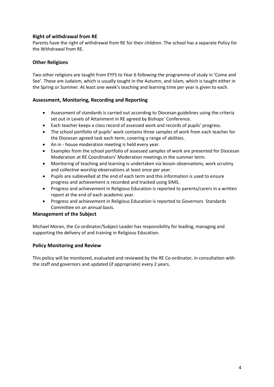# **Right of withdrawal from RE**

Parents have the right of withdrawal from RE for their children. The school has a separate Policy for the Withdrawal from RE.

# **Other Religions**

Two other religions are taught from EYFS to Year 6 following the programme of study in 'Come and See'. These are Judaism, which is usually taught in the Autumn, and Islam*,* which is taught either in the Spring or Summer. At least one week's teaching and learning time per year is given to each.

# **Assessment, Monitoring, Recording and Reporting**

- Assessment of standards is carried out according to Diocesan guidelines using the criteria set out in Levels of Attainment in RE agreed by Bishops' Conference.
- Each teacher keeps a class record of assessed work and records of pupils' progress.
- The school portfolio of pupils' work contains three samples of work from each teacher for the Diocesan agreed task each term, covering a range of abilities.
- An in house moderation meeting is held every year.
- Examples from the school portfolio of assessed samples of work are presented for Diocesan Moderation at RE Coordinators' Moderation meetings in the summer term.
- Monitoring of teaching and learning is undertaken via lesson observations, work scrutiny and collective worship observations at least once per year.
- Pupils are sublevelled at the end of each term and this information is used to ensure progress and achievement is recorded and tracked using SIMS.
- Progress and achievement in Religious Education is reported to parents/carers in a written report at the end of each academic year.
- Progress and achievement in Religious Education is reported to Governors Standards Committee on an annual basis.

# **Management of the Subject**

Michael Moran, the Co-ordinator/Subject Leader has responsibility for leading, managing and supporting the delivery of and training in Religious Education.

# **Policy Monitoring and Review**

This policy will be monitored, evaluated and reviewed by the RE Co-ordinator*,* in consultation with the staff *and* governors and updated (if appropriate) every 2 years.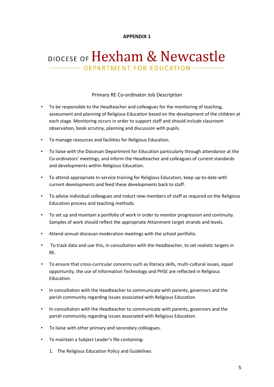# **APPENDIX 1**

# DIOCESE OF Hexham & Newcastle - DEPARTMENT FOR EDUCATION -

### Primary RE Co-ordinator Job Description

- To be responsible to the Headteacher and colleagues for the monitoring of teaching, assessment and planning of Religious Education based on the development of the children at each stage. Monitoring occurs in order to support staff and should include classroom observation, book scrutiny, planning and discussion with pupils.
- To manage resources and facilities for Religious Education.
- To liaise with the Diocesan Department for Education particularly through attendance at the Co-ordinators' meetings, and inform the Headteacher and colleagues of current standards and developments within Religious Education.
- To attend appropriate In-service training for Religious Education, keep up-to-date with current developments and feed these developments back to staff.
- To advise individual colleagues and induct new members of staff as required on the Religious Education process and teaching methods.
- To set up and maintain a portfolio of work in order to monitor progression and continuity. Samples of work should reflect the appropriate Attainment target strands and levels.
- Attend annual diocesan moderation meetings with the school portfolio.
- To track data and use this, in consultation with the Headteacher, to set realistic targets in RE.
- To ensure that cross-curricular concerns such as literacy skills, multi-cultural issues, equal opportunity, the use of Information Technology and PHSE are reflected in Religious Education.
- In consultation with the Headteacher to communicate with parents, governors and the parish community regarding issues associated with Religious Education.
- In consultation with the Headteacher to communicate with parents, governors and the parish community regarding issues associated with Religious Education.
- To liaise with other primary and secondary colleagues.
- To maintain a Subject Leader's file containing:
	- 1. The Religious Education Policy and Guidelines